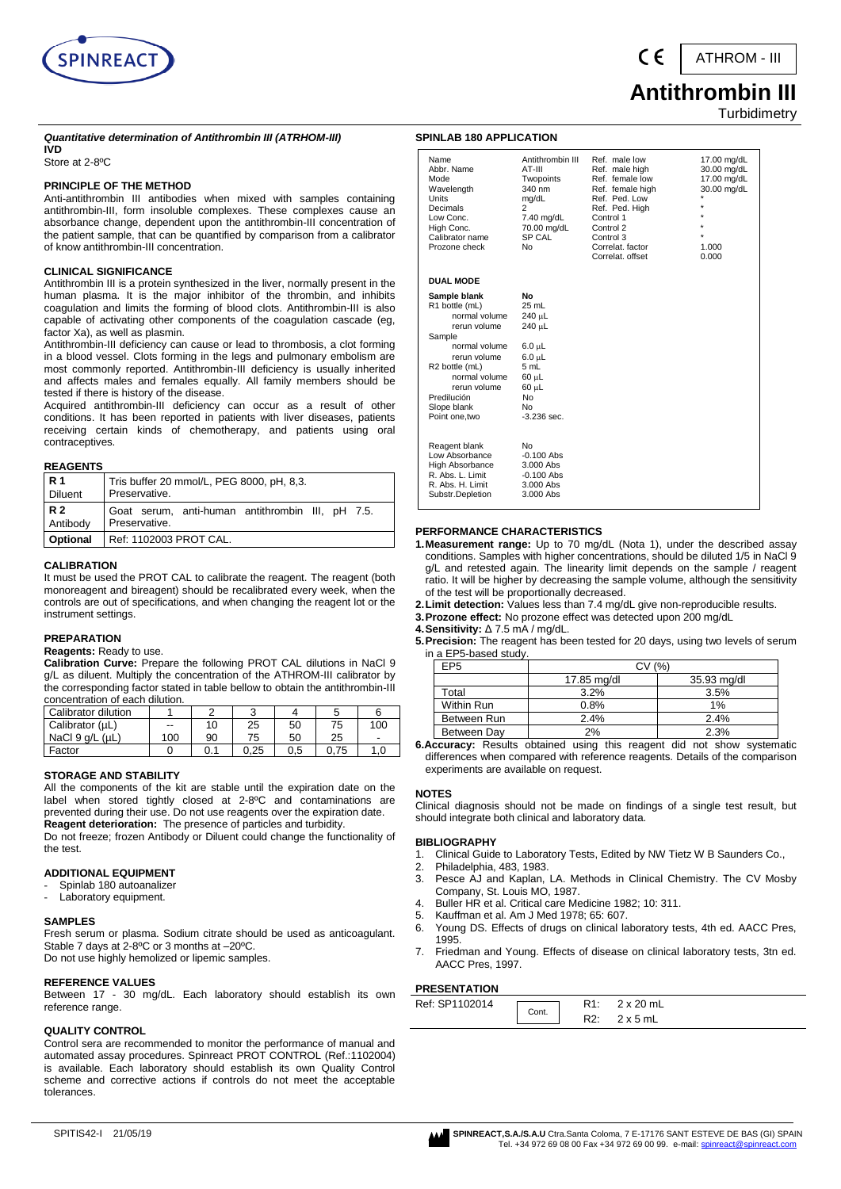

ATHROM - III

## **Antithrombin III Turbidimetry**

#### *Quantitative determination of Antithrombin III (ATRHOM-III)* **IVD**

Store at 2-8ºC

#### **PRINCIPLE OF THE METHOD**

Anti-antithrombin III antibodies when mixed with samples containing antithrombin-III, form insoluble complexes. These complexes cause an absorbance change, dependent upon the antithrombin-III concentration of the patient sample, that can be quantified by comparison from a calibrator of know antithrombin-III concentration.

#### **CLINICAL SIGNIFICANCE**

Antithrombin III is a protein synthesized in the liver, normally present in the human plasma. It is the major inhibitor of the thrombin, and inhibits coagulation and limits the forming of blood clots. Antithrombin-III is also capable of activating other components of the coagulation cascade (eg, factor Xa), as well as plasmin.

Antithrombin-III deficiency can cause or lead to thrombosis, a clot forming in a blood vessel. Clots forming in the legs and pulmonary embolism are most commonly reported. Antithrombin-III deficiency is usually inherited and affects males and females equally. All family members should be tested if there is history of the disease.

Acquired antithrombin-III deficiency can occur as a result of other conditions. It has been reported in patients with liver diseases, patients receiving certain kinds of chemotherapy, and patients using oral contraceptives.

#### **REAGENTS**

| l R 1           | Tris buffer 20 mmol/L, PEG 8000, pH, 8,3.        |  |  |  |  |  |  |
|-----------------|--------------------------------------------------|--|--|--|--|--|--|
| <b>Diluent</b>  | Preservative.                                    |  |  |  |  |  |  |
| R 2             | Goat serum, anti-human antithrombin III, pH 7.5. |  |  |  |  |  |  |
| Antibody        | Preservative.                                    |  |  |  |  |  |  |
| <b>Optional</b> | Ref: 1102003 PROT CAL.                           |  |  |  |  |  |  |

#### **CALIBRATION**

It must be used the PROT CAL to calibrate the reagent. The reagent (both monoreagent and bireagent) should be recalibrated every week, when the controls are out of specifications, and when changing the reagent lot or the instrument settings.

## **PREPARATION**

**Reagents:** Ready to use.

**Calibration Curve:** Prepare the following PROT CAL dilutions in NaCl 9 g/L as diluent. Multiply the concentration of the ATHROM-III calibrator by the corresponding factor stated in table bellow to obtain the antithrombin-III concentration of each dilution.

| Calibrator dilution     |     |     |      |     |      |                          |
|-------------------------|-----|-----|------|-----|------|--------------------------|
| Calibrator (µL)         | --  | 10  | 25   | 50  | 75   | 100                      |
| NaCl $9$ $a/L$ ( $uL$ ) | 100 | 90  | 75   | 50  | 25   | $\overline{\phantom{a}}$ |
| Factor                  |     | 0.1 | 0.25 | 0.5 | 0.75 | .0                       |

## **STORAGE AND STABILITY**

All the components of the kit are stable until the expiration date on the label when stored tightly closed at 2-8ºC and contaminations are prevented during their use. Do not use reagents over the expiration date. **Reagent deterioration:** The presence of particles and turbidity.

Do not freeze; frozen Antibody or Diluent could change the functionality of the test.

## **ADDITIONAL EQUIPMENT**

- Spinlab 180 autoanalizer
- Laboratory equipment.

#### **SAMPLES**

Fresh serum or plasma. Sodium citrate should be used as anticoagulant. Stable 7 days at 2-8ºC or 3 months at –20ºC.

Do not use highly hemolized or lipemic samples.

## **REFERENCE VALUES**

Between 17 - 30 mg/dL. Each laboratory should establish its own reference range.

#### **QUALITY CONTROL**

Control sera are recommended to monitor the performance of manual and automated assay procedures. Spinreact PROT CONTROL (Ref.:1102004) is available. Each laboratory should establish its own Quality Control scheme and corrective actions if controls do not meet the acceptable tolerances.

#### **SPINLAB 180 APPLICATION**

| Name<br>Abbr. Name<br>Mode<br>Wavelength<br>Units<br>Decimals<br>Low Conc.<br>High Conc.<br>Calibrator name<br>Prozone check                                                                                              | Antithrombin III<br>AT-III<br>Twopoints<br>340 nm<br>mg/dL<br>2<br>7.40 mg/dL<br>70.00 mg/dL<br>SP CAL<br><b>No</b>         | Ref. male low<br>Ref. male high<br>Ref. female low<br>Ref. female high<br>Ref. Ped. Low<br>Ref. Ped. High<br>Control 1<br>Control 2<br>Control 3<br>Correlat, factor<br>Correlat, offset | 17.00 mg/dL<br>30.00 mg/dL<br>17.00 mg/dL<br>30.00 mg/dL<br>*<br>$\star$<br>$\star$<br>÷<br>$\star$<br>1.000<br>0.000 |
|---------------------------------------------------------------------------------------------------------------------------------------------------------------------------------------------------------------------------|-----------------------------------------------------------------------------------------------------------------------------|------------------------------------------------------------------------------------------------------------------------------------------------------------------------------------------|-----------------------------------------------------------------------------------------------------------------------|
| <b>DUAL MODE</b>                                                                                                                                                                                                          |                                                                                                                             |                                                                                                                                                                                          |                                                                                                                       |
| Sample blank<br>R1 bottle (mL)<br>normal volume<br>rerun volume<br>Sample<br>normal volume<br>rerun volume<br>R <sub>2</sub> bottle (mL)<br>normal volume<br>rerun volume<br>Predilución<br>Slope blank<br>Point one, two | No<br>25 mL<br>240 µL<br>240 µL<br>$6.0 \mu L$<br>$6.0 \mu L$<br>5 mL<br>60 µL<br>60 µL<br>No<br><b>No</b><br>$-3.236$ sec. |                                                                                                                                                                                          |                                                                                                                       |
| Reagent blank<br>Low Absorbance<br>High Absorbance<br>R. Abs. L. Limit<br>R. Abs. H. Limit<br>Substr.Depletion                                                                                                            | No<br>$-0.100$ Abs<br>$3.000$ Abs<br>$-0.100$ Abs<br>3.000 Abs<br>3.000 Abs                                                 |                                                                                                                                                                                          |                                                                                                                       |

#### **PERFORMANCE CHARACTERISTICS**

- **1.Measurement range:** Up to 70 mg/dL (Nota 1), under the described assay conditions. Samples with higher concentrations, should be diluted 1/5 in NaCl 9 g/L and retested again. The linearity limit depends on the sample / reagent ratio. It will be higher by decreasing the sample volume, although the sensitivity of the test will be proportionally decreased.
- **2.Limit detection:** Values less than 7.4 mg/dL give non-reproducible results.
- **3.Prozone effect:** No prozone effect was detected upon 200 mg/dL
- **4.Sensitivity:** Δ 7.5 mA / mg/dL.
- **5.Precision:** The reagent has been tested for 20 days, using two levels of serum in a EP5-based study.

| EP5         | CV (%)      |             |  |  |  |  |
|-------------|-------------|-------------|--|--|--|--|
|             | 17.85 mg/dl | 35.93 mg/dl |  |  |  |  |
| Total       | 3.2%        | 3.5%        |  |  |  |  |
| Within Run  | 0.8%        | 1%          |  |  |  |  |
| Between Run | 2.4%        | 2.4%        |  |  |  |  |
| Between Dav | 2%          | 2.3%        |  |  |  |  |

**6.Accuracy:** Results obtained using this reagent did not show systematic differences when compared with reference reagents. Details of the comparison experiments are available on request.

#### **NOTES**

Clinical diagnosis should not be made on findings of a single test result, but should integrate both clinical and laboratory data.

#### **BIBLIOGRAPHY**

- 1. Clinical Guide to Laboratory Tests, Edited by NW Tietz W B Saunders Co.,
- 2. Philadelphia, 483, 1983.
- 3. Pesce AJ and Kaplan, LA. Methods in Clinical Chemistry. The CV Mosby Company, St. Louis MO, 1987.
- 4. Buller HR et al. Critical care Medicine 1982; 10: 311.
- 5. Kauffman et al. Am J Med 1978; 65: 607.
- 6. Young DS. Effects of drugs on clinical laboratory tests, 4th ed. AACC Pres, 1995.
- 7. Friedman and Young. Effects of disease on clinical laboratory tests, 3tn ed. AACC Pres, 1997.

#### **PRESENTATION**

| .              |       |     |                  |
|----------------|-------|-----|------------------|
| Ref: SP1102014 |       |     | $2 \times 20$ mL |
|                | Cont. | R2: | $2 \times 5$ mL  |

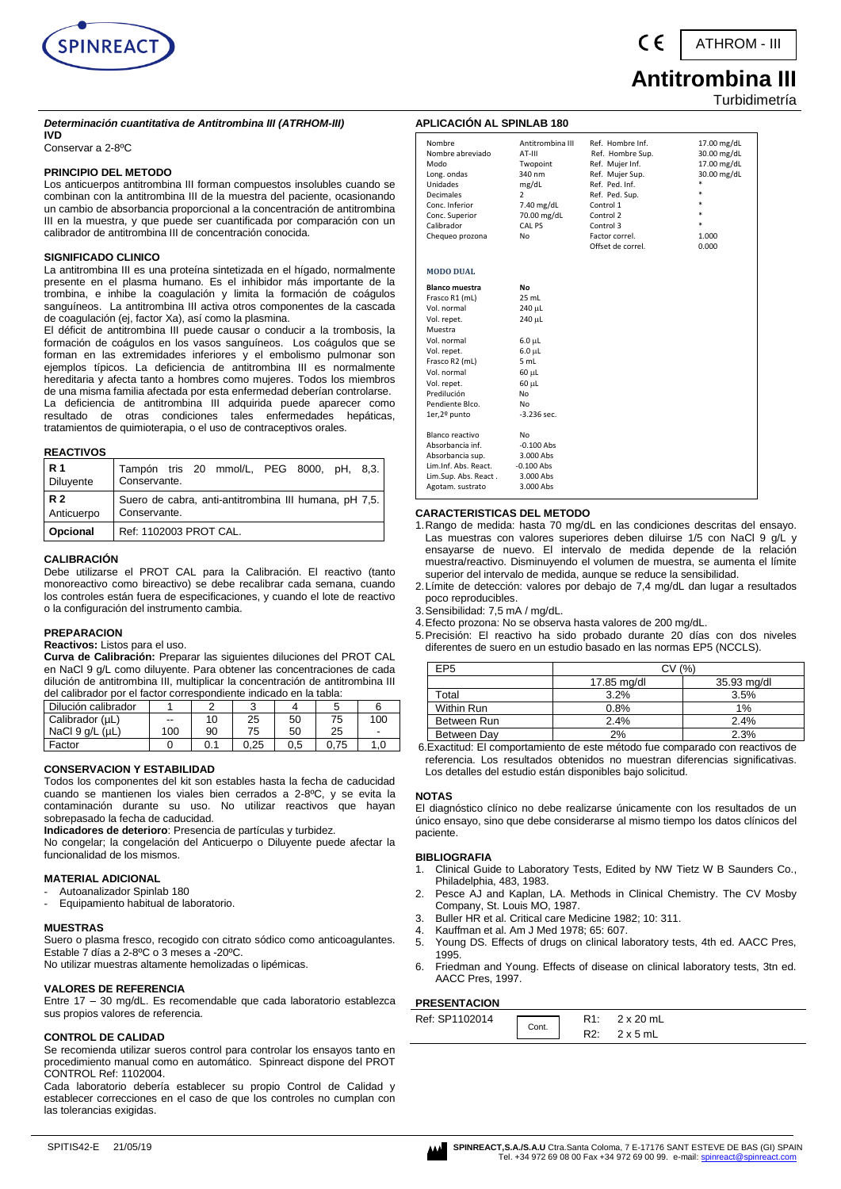

ATHROM - III

# **Antitrombina III**

Turbidimetría

## *Determinación cuantitativa de Antitrombina III (ATRHOM-III)*

## **IVD**

Conservar a 2-8ºC

#### **PRINCIPIO DEL METODO**

Los anticuerpos antitrombina III forman compuestos insolubles cuando se combinan con la antitrombina III de la muestra del paciente, ocasionando un cambio de absorbancia proporcional a la concentración de antitrombina III en la muestra, y que puede ser cuantificada por comparación con un calibrador de antitrombina III de concentración conocida.

#### **SIGNIFICADO CLINICO**

La antitrombina III es una proteína sintetizada en el hígado, normalmente presente en el plasma humano. Es el inhibidor más importante de la trombina, e inhibe la coagulación y limita la formación de coágulos sanguíneos. La antitrombina III activa otros componentes de la cascada de coagulación (ej, factor Xa), así como la plasmina.

El déficit de antitrombina III puede causar o conducir a la trombosis, la formación de coágulos en los vasos sanguíneos. Los coágulos que se forman en las extremidades inferiores y el embolismo pulmonar son ejemplos típicos. La deficiencia de antitrombina III es normalmente hereditaria y afecta tanto a hombres como mujeres. Todos los miembros de una misma familia afectada por esta enfermedad deberían controlarse. La deficiencia de antitrombina III adquirida puede aparecer como resultado de otras condiciones tales enfermedades hepáticas, tratamientos de quimioterapia, o el uso de contraceptivos orales.

#### **REACTIVOS**

| R 1              | Tampón tris 20 mmol/L, PEG 8000, pH, 8,3.             |
|------------------|-------------------------------------------------------|
| <b>Diluyente</b> | Conservante.                                          |
| R 2              | Suero de cabra, anti-antitrombina III humana, pH 7,5. |
| Anticuerpo       | Conservante.                                          |
| <b>Opcional</b>  | Ref: 1102003 PROT CAL.                                |

#### **CALIBRACIÓN**

Debe utilizarse el PROT CAL para la Calibración. El reactivo (tanto monoreactivo como bireactivo) se debe recalibrar cada semana, cuando los controles están fuera de especificaciones, y cuando el lote de reactivo o la configuración del instrumento cambia.

#### **PREPARACION**

## **Reactivos:** Listos para el uso.

**Curva de Calibración:** Preparar las siguientes diluciones del PROT CAL en NaCl 9 g/L como diluyente. Para obtener las concentraciones de cada dilución de antitrombina III, multiplicar la concentración de antitrombina III del calibrador por el factor correspondiente indicado en la tabla:

| Dilución calibrador     |     |    |      |     |      |     |
|-------------------------|-----|----|------|-----|------|-----|
| Calibrador (µL)         | --  |    | 25   | 50  | 75   | 100 |
| NaCl $9$ q/L ( $\mu$ L) | 100 | 90 | 75   | 50  | 25   | -   |
| Factor                  |     |    | 0.25 | 0.5 | 0.75 | 1,0 |

#### **CONSERVACION Y ESTABILIDAD**

Todos los componentes del kit son estables hasta la fecha de caducidad cuando se mantienen los viales bien cerrados a 2-8ºC, y se evita la contaminación durante su uso. No utilizar reactivos que hayan sobrepasado la fecha de caducidad.

**Indicadores de deterioro**: Presencia de partículas y turbidez.

No congelar; la congelación del Anticuerpo o Diluyente puede afectar la funcionalidad de los mismos.

#### **MATERIAL ADICIONAL**

- Autoanalizador Spinlab 180
- Equipamiento habitual de laboratorio.

#### **MUESTRAS**

Suero o plasma fresco, recogido con citrato sódico como anticoagulantes. Estable 7 días a 2-8ºC o 3 meses a -20ºC.

No utilizar muestras altamente hemolizadas o lipémicas.

#### **VALORES DE REFERENCIA**

Entre 17 – 30 mg/dL. Es recomendable que cada laboratorio establezca sus propios valores de referencia.

#### **CONTROL DE CALIDAD**

Se recomienda utilizar sueros control para controlar los ensayos tanto en procedimiento manual como en automático. Spinreact dispone del PROT CONTROL Ref: 1102004.

Cada laboratorio debería establecer su propio Control de Calidad y establecer correcciones en el caso de que los controles no cumplan con las tolerancias exigidas.

| <b>APLICACIÓN AL SPINLAB 180</b> |                            |                                      |                            |
|----------------------------------|----------------------------|--------------------------------------|----------------------------|
| Nombre<br>Nombre abreviado       | Antitrombina III<br>AT-III | Ref. Hombre Inf.<br>Ref. Hombre Sup. | 17.00 mg/dL<br>30.00 mg/dL |
| Modo                             | Twopoint                   | Ref. Mujer Inf.                      | 17.00 mg/dL                |
| Long. ondas                      | 340 nm                     | Ref. Mujer Sup.                      | 30.00 mg/dL                |
| Unidades                         | mg/dL                      | Ref. Ped. Inf.                       | *                          |
| <b>Decimales</b>                 | $\overline{2}$             | Ref. Ped. Sup.                       | $\ast$                     |
| Conc. Inferior                   | 7.40 mg/dL                 | Control 1                            |                            |
| Conc. Superior                   | 70.00 mg/dL                | Control 2                            |                            |
| Calibrador                       | CAL PS                     | Control 3                            |                            |
| Chequeo prozona                  | Nο                         | Factor correl.                       | 1.000                      |
|                                  |                            | Offset de correl.                    | 0.000                      |
| <b>MODO DUAL</b>                 |                            |                                      |                            |
| <b>Blanco muestra</b>            | No                         |                                      |                            |
| Frasco R1 (mL)                   | 25 mL                      |                                      |                            |
| Vol. normal                      | 240 µL                     |                                      |                            |
| Vol. repet.                      | 240 µL                     |                                      |                            |
| Muestra                          |                            |                                      |                            |
| Vol. normal                      | $6.0 \mu L$                |                                      |                            |
| Vol. repet.                      | $6.0 \mu L$                |                                      |                            |
| Frasco R2 (mL)                   | 5 mL                       |                                      |                            |
| Vol. normal                      | 60 µL                      |                                      |                            |
| Vol. repet.                      | 60 µL                      |                                      |                            |
| Predilución                      | No.                        |                                      |                            |
| Pendiente Blco.                  | No                         |                                      |                            |
| 1er,2º punto                     | $-3.236$ sec.              |                                      |                            |
| Blanco reactivo                  | No                         |                                      |                            |
| Absorbancia inf.                 | $-0.100$ Abs               |                                      |                            |
| Absorbancia sup.                 | 3.000 Abs                  |                                      |                            |
| Lim.Inf. Abs. React.             | $-0.100$ Abs               |                                      |                            |
| Lim.Sup. Abs. React.             | 3.000 Abs                  |                                      |                            |
| Agotam. sustrato                 | 3.000 Abs                  |                                      |                            |

## **CARACTERISTICAS DEL METODO**

- 1.Rango de medida: hasta 70 mg/dL en las condiciones descritas del ensayo. Las muestras con valores superiores deben diluirse 1/5 con NaCl 9 g/L y ensayarse de nuevo. El intervalo de medida depende de la relación muestra/reactivo. Disminuyendo el volumen de muestra, se aumenta el límite superior del intervalo de medida, aunque se reduce la sensibilidad.
- 2.Límite de detección: valores por debajo de 7,4 mg/dL dan lugar a resultados poco reproducibles.
- 3.Sensibilidad: 7,5 mA / mg/dL.
- 4.Efecto prozona: No se observa hasta valores de 200 mg/dL.
- 5.Precisión: El reactivo ha sido probado durante 20 días con dos niveles diferentes de suero en un estudio basado en las normas EP5 (NCCLS).

| EP <sub>5</sub> |             | (%`         |
|-----------------|-------------|-------------|
|                 | 17.85 mg/dl | 35.93 mg/dl |
| Total           | 3.2%        | 3.5%        |
| Within Run      | 0.8%        | 1%          |
| Between Run     | 2.4%        | 2.4%        |
| Between Day     | 2%          | 2.3%        |

6.Exactitud: El comportamiento de este método fue comparado con reactivos de referencia. Los resultados obtenidos no muestran diferencias significativas. Los detalles del estudio están disponibles bajo solicitud.

#### **NOTAS**

El diagnóstico clínico no debe realizarse únicamente con los resultados de un único ensayo, sino que debe considerarse al mismo tiempo los datos clínicos del paciente.

## **BIBLIOGRAFIA**

- 1. Clinical Guide to Laboratory Tests, Edited by NW Tietz W B Saunders Co., Philadelphia, 483, 1983.
- 2. Pesce AJ and Kaplan, LA. Methods in Clinical Chemistry. The CV Mosby Company, St. Louis MO, 1987.
- Buller HR et al. Critical care Medicine 1982; 10: 311.
- 4. Kauffman et al. Am J Med 1978; 65: 607.
- 5. Young DS. Effects of drugs on clinical laboratory tests, 4th ed. AACC Pres, 1995.
- 6. Friedman and Young. Effects of disease on clinical laboratory tests, 3tn ed. AACC Pres, 1997.

#### **PRESENTACION**

| .              |       |                 |
|----------------|-------|-----------------|
| Ref: SP1102014 |       | 2 x 20 mL       |
|                | Cont. | $2 \times 5$ mL |

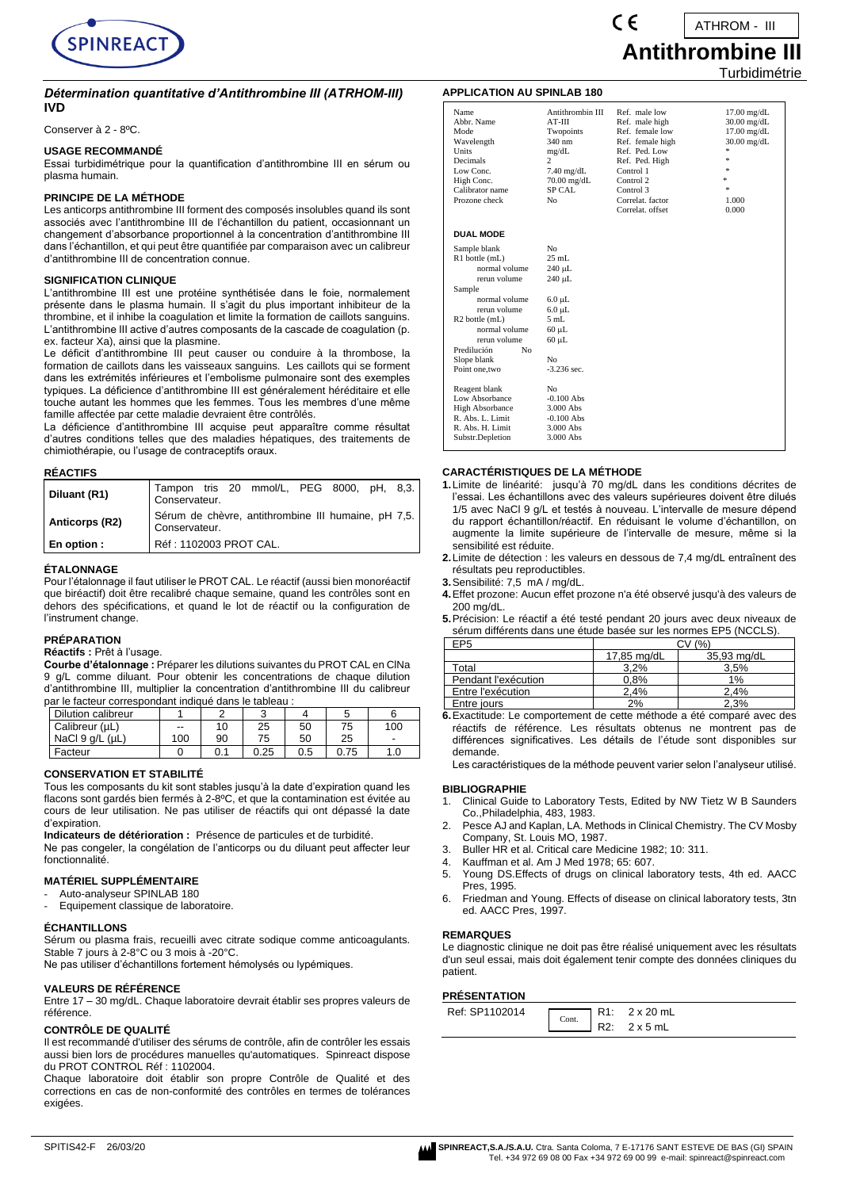

#### *Détermination quantitative d'Antithrombine III (ATRHOM-III)* **IVD**

Conserver à 2 - 8ºC.

#### **USAGE RECOMMANDÉ**

Essai turbidimétrique pour la quantification d'antithrombine III en sérum ou plasma humain.

#### **PRINCIPE DE LA MÉTHODE**

Les anticorps antithrombine III forment des composés insolubles quand ils sont associés avec l'antithrombine III de l'échantillon du patient, occasionnant un changement d'absorbance proportionnel à la concentration d'antithrombine III dans l'échantillon, et qui peut être quantifiée par comparaison avec un calibreur d'antithrombine III de concentration connue.

#### **SIGNIFICATION CLINIQUE**

L'antithrombine III est une protéine synthétisée dans le foie, normalement présente dans le plasma humain. Il s'agit du plus important inhibiteur de la thrombine, et il inhibe la coagulation et limite la formation de caillots sanguins. L'antithrombine III active d'autres composants de la cascade de coagulation (p. ex. facteur Xa), ainsi que la plasmine.

Le déficit d'antithrombine III peut causer ou conduire à la thrombose, la formation de caillots dans les vaisseaux sanguins. Les caillots qui se forment dans les extrémités inférieures et l'embolisme pulmonaire sont des exemples typiques. La déficience d'antithrombine III est généralement héréditaire et elle touche autant les hommes que les femmes. Tous les membres d'une même famille affectée par cette maladie devraient être contrôlés.

La déficience d'antithrombine III acquise peut apparaître comme résultat d'autres conditions telles que des maladies hépatiques, des traitements de chimiothérapie, ou l'usage de contraceptifs oraux.

#### **RÉACTIFS**

| Diluant (R1)   | Tampon tris 20 mmol/L, PEG 8000, pH, 8,3.<br>Conservateur.           |  |  |  |  |
|----------------|----------------------------------------------------------------------|--|--|--|--|
| Anticorps (R2) | Sérum de chèvre, antithrombine III humaine, pH 7,5.<br>Conservateur. |  |  |  |  |
| En option :    | Réf : 1102003 PROT CAL.                                              |  |  |  |  |

#### **ÉTALONNAGE**

Pour l'étalonnage il faut utiliser le PROT CAL. Le réactif (aussi bien monoréactif que biréactif) doit être recalibré chaque semaine, quand les contrôles sont en dehors des spécifications, et quand le lot de réactif ou la configuration de l'instrument change.

## **PRÉPARATION**

#### **Réactifs :** Prêt à l'usage.

**Courbe d'étalonnage :** Préparer les dilutions suivantes du PROT CAL en ClNa 9 g/L comme diluant. Pour obtenir les concentrations de chaque dilution d'antithrombine III, multiplier la concentration d'antithrombine III du calibreur par le facteur correspondant indiqué dans le tableau :

| Dilution calibreur      |     |     |      |     |      |     |
|-------------------------|-----|-----|------|-----|------|-----|
| Calibreur (µL)          | $-$ | 10  | 25   | 50  | 75   | 100 |
| NaCl $9$ $a/L$ ( $uL$ ) | 100 | 90  | 75   | 50  | 25   | -   |
| Facteur                 |     | 0.1 | 0.25 | 0.5 | 0.75 |     |

#### **CONSERVATION ET STABILITÉ**

Tous les composants du kit sont stables jusqu'à la date d'expiration quand les flacons sont gardés bien fermés à 2-8ºC, et que la contamination est évitée au cours de leur utilisation. Ne pas utiliser de réactifs qui ont dépassé la date d'expiration.

**Indicateurs de détérioration :** Présence de particules et de turbidité. Ne pas congeler, la congélation de l'anticorps ou du diluant peut affecter leur fonctionnalité.

#### **MATÉRIEL SUPPLÉMENTAIRE**

- Auto-analyseur SPINLAB 180
- Equipement classique de laboratoire.

## **ÉCHANTILLONS**

Sérum ou plasma frais, recueilli avec citrate sodique comme anticoagulants. Stable 7 jours à 2-8°C ou 3 mois à -20°C.

Ne pas utiliser d'échantillons fortement hémolysés ou lypémiques.

#### **VALEURS DE RÉFÉRENCE**

Entre 17 – 30 mg/dL. Chaque laboratoire devrait établir ses propres valeurs de référence.

#### **CONTRÔLE DE QUALITÉ**

Il est recommandé d'utiliser des sérums de contrôle, afin de contrôler les essais aussi bien lors de procédures manuelles qu'automatiques. Spinreact dispose du PROT CONTROL Réf : 1102004.

Chaque laboratoire doit établir son propre Contrôle de Qualité et des corrections en cas de non-conformité des contrôles en termes de tolérances exigées.

## **APPLICATION AU SPINLAB 180**

| Name                          | Antithrombin III | Ref. male low    | $17.00$ mg/dL |
|-------------------------------|------------------|------------------|---------------|
| Abbr. Name                    | $AT-III$         | Ref. male high   | $30.00$ mg/dL |
| Mode                          | Twopoints        | Ref. female low  | $17.00$ mg/dL |
| Wavelength                    | 340 nm           | Ref. female high | $30.00$ mg/dL |
| Units                         | mg/dL            | Ref. Ped. Low    | *             |
| Decimals                      | 2                | Ref. Ped. High   | $\pm$         |
| Low Conc.                     | $7.40$ mg/dL     | Control 1        | $\pm$         |
| High Conc.                    | 70.00 mg/dL      | Control 2        | ×.            |
| Calibrator name               | <b>SP CAL</b>    | Control 3        | $\pm$         |
| Prozone check                 | N <sub>0</sub>   | Correlat. factor | 1.000         |
|                               |                  | Correlat. offset | 0.000         |
| <b>DUAL MODE</b>              |                  |                  |               |
|                               |                  |                  |               |
| Sample blank                  | No               |                  |               |
| R1 bottle (mL)                | $25$ mL          |                  |               |
| normal volume                 | 240 µL           |                  |               |
| rerun volume                  | 240 µL           |                  |               |
| Sample                        |                  |                  |               |
| normal volume                 | $6.0 \mu L$      |                  |               |
| rerun volume                  | $6.0 \mu L$      |                  |               |
| R <sub>2</sub> bottle (mL)    | 5mL              |                  |               |
| normal volume                 | $60 \mu L$       |                  |               |
| rerun volume                  | $60 \mu L$       |                  |               |
| Predilución<br>N <sub>0</sub> |                  |                  |               |
| Slope blank                   | No               |                  |               |
| Point one, two                | $-3.236$ sec.    |                  |               |
| Reagent blank                 | No               |                  |               |
| Low Absorbance                | $-0.100$ Abs     |                  |               |
| <b>High Absorbance</b>        | 3.000 Abs        |                  |               |
| R. Abs. L. Limit              | $-0.100$ Abs     |                  |               |
| R. Abs. H. Limit              | 3.000 Abs        |                  |               |
| Substr.Depletion              | 3.000 Abs        |                  |               |
|                               |                  |                  |               |

 $\epsilon$ 

#### **CARACTÉRISTIQUES DE LA MÉTHODE**

- **1.**Limite de linéarité: jusqu'à 70 mg/dL dans les conditions décrites de l'essai. Les échantillons avec des valeurs supérieures doivent être dilués 1/5 avec NaCl 9 g/L et testés à nouveau. L'intervalle de mesure dépend du rapport échantillon/réactif. En réduisant le volume d'échantillon, on augmente la limite supérieure de l'intervalle de mesure, même si la sensibilité est réduite.
- **2.**Limite de détection : les valeurs en dessous de 7,4 mg/dL entraînent des résultats peu reproductibles.
- **3.**Sensibilité: 7,5 mA / mg/dL.
- **4.**Effet prozone: Aucun effet prozone n'a été observé jusqu'à des valeurs de 200 mg/dL.
- **5.**Précision: Le réactif a été testé pendant 20 jours avec deux niveaux de sérum différents dans une étude basée sur les normes EP5 (NCCLS).

| EP5                 | (9/2)       |             |  |
|---------------------|-------------|-------------|--|
|                     | 17,85 mg/dL | 35,93 mg/dL |  |
| Total               | 3.2%        | 3.5%        |  |
| Pendant l'exécution | 0.8%        | 1%          |  |
| Entre l'exécution   | 2.4%        | 2.4%        |  |
| Entre jours         | 2%          | 2.3%        |  |

**6.**Exactitude: Le comportement de cette méthode a été comparé avec des réactifs de référence. Les résultats obtenus ne montrent pas de différences significatives. Les détails de l'étude sont disponibles sur demande.

Les caractéristiques de la méthode peuvent varier selon l'analyseur utilisé.

#### **BIBLIOGRAPHIE**

- 1. Clinical Guide to Laboratory Tests, Edited by NW Tietz W B Saunders Co.,Philadelphia, 483, 1983.
- 2. Pesce AJ and Kaplan, LA. Methods in Clinical Chemistry. The CV Mosby Company, St. Louis MO, 1987.
- 3. Buller HR et al. Critical care Medicine 1982; 10: 311.
- 4. Kauffman et al. Am J Med 1978; 65: 607.
- 5. Young DS.Effects of drugs on clinical laboratory tests, 4th ed. AACC Pres, 1995.
- 6. Friedman and Young. Effects of disease on clinical laboratory tests, 3tn ed. AACC Pres, 1997.

#### **REMARQUES**

Le diagnostic clinique ne doit pas être réalisé uniquement avec les résultats d'un seul essai, mais doit également tenir compte des données cliniques du patient.

## **PRÉSENTATION**

| Ref: SP1102014 | $\overline{\text{Cont.}}$ |             | R1: 2 x 20 mL   |
|----------------|---------------------------|-------------|-----------------|
|                |                           | <b>D</b> 2. | $2 \times 5$ mL |



| <b>Antithrombine III</b> |  |
|--------------------------|--|
| Turbidimétrie            |  |

ATHROM - III